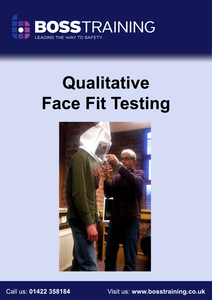

# **Qualitative Face Fit Testing**



Call us: **01422 358184** Visit us: **www.bosstraining.co.uk**